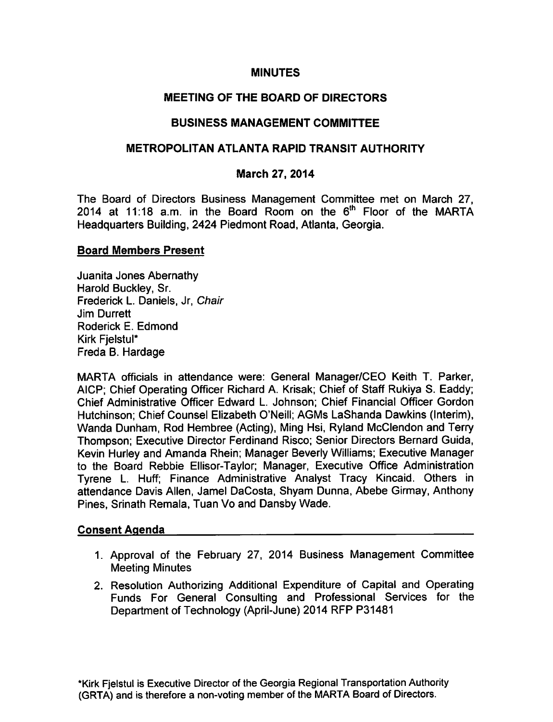# MINUTES

# MEETING OF THE BOARD OF DIRECTORS

# BUSINESS MANAGEMENT COMMITTEE

# METROPOLITAN ATLANTA RAPID TRANSIT AUTHORITY

## March 27, 2014

The Board of Directors Business Management Committee met on March 27, 2014 at 11:18 a.m. in the Board Room on the  $6<sup>th</sup>$  Floor of the MARTA Headquarters Building, 2424 Piedmont Road, Atlanta, Georgia.

### Board Members Present

Juanita Jones Abernathy Harold Buckley, Sr. Frederick L. Daniels, Jr, Chair Jim Durrett Roderick E. Edmond Kirk Fjelstul\* Freda B. Hardage

MARTA officials in attendance were: General Manager/CEO Keith T. Parker, AICP; Chief Operating Officer Richard A. Krisak; Chief of Staff Rukiya S. Eaddy; Chief Administrative Officer Edward L. Johnson; Chief Financial Officer Gordon Hutchinson; Chief Counsel Elizabeth O'Neill; AGMs LaShanda Dawkins (Interim), Wanda Dunham, Rod Hembree (Acting), Ming Hsi, Ryland McClendon and Terry Thompson; Executive Director Ferdinand Risco; Senior Directors Bernard Guida, Kevin Hurley and Amanda Rhein; Manager Beverly Williams; Executive Manager to the Board Rebbie Ellisor-Taylor; Manager, Executive Office Administration Tyrene L. Huff; Finance Administrative Analyst Tracy Kincaid. Others in attendance Davis Allen, Jamel DaCosta, Shyam Dunna, Abebe Girmay, Anthony Pines, Srinath Remala, Tuan Vo and Dansby Wade.

### Consent Agenda

- 1. Approval of the February 27, 2014 Business Management Committee Meeting Minutes
- 2. Resolution Authorizing Additional Expenditure of Capital and Operating Funds For General Consulting and Professional Services for the Department of Technology (April-June) 2014 RFP P31481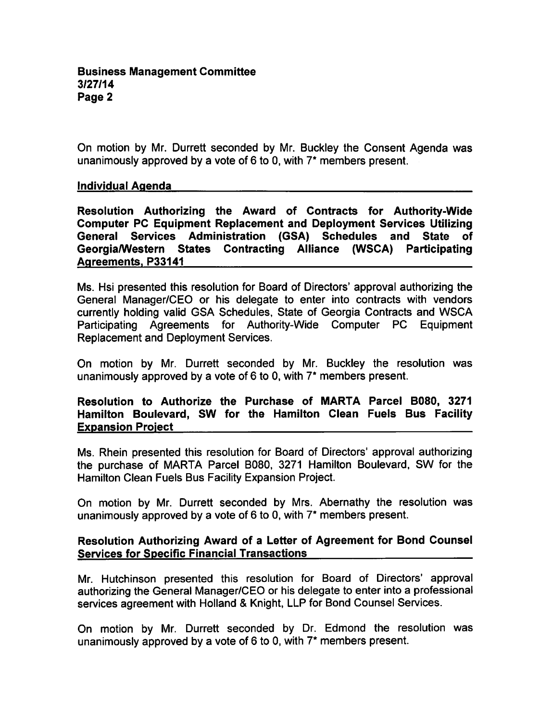On motion by Mr. Durrett seconded by Mr. Buckley the Consent Agenda was unanimously approved by a vote of 6 to 0, with  $7^*$  members present.

## Individual Agenda

Resolution Authorizing the Award of Contracts for Authority-Wide Computer PC Equipment Replacement and Deployment Services Utilizing General Services Administration (GSA) Schedules and State of Georgia/Western States Contracting Alliance (WSCA) Participating Agreements. P33141

Ms. Hsi presented this resolution for Board of Directors' approval authorizing the General Manager/CEO or his delegate to enter into contracts with vendors currently holding valid GSA Schedules, State of Georgia Contracts and WSCA Participating Agreements for Authority-Wide Computer PC Equipment Replacement and Deployment Services.

On motion by Mr. Durrett seconded by Mr. Buckley the resolution was unanimously approved by a vote of 6 to 0, with 7\* members present.

## Resolution to Authorize the Purchase of MARTA Parcel B080, 3271 Hamilton Boulevard, SW for the Hamilton Clean Fuels Bus Facility Expansion Project

Ms. Rhein presented this resolution for Board of Directors' approval authorizing the purchase of MARTA Parcel B080, <sup>3271</sup> Hamilton Boulevard, SW for the Hamilton Clean Fuels Bus Facility Expansion Project.

On motion by Mr. Durrett seconded by Mrs. Abernathy the resolution was unanimously approved by a vote of 6 to 0, with  $7^*$  members present.

# Resolution Authorizing Award of Letter of Agreement for Bond Counsel Services for Specific Financial Transactions

Mr. Hutchinson presented this resolution for Board of Directors' approval authorizing the General Manager/CEO or his delegate to enter into a professional services agreement with Holland & Knight, LLP for Bond Counsel Services.

On motion by Mr. Durrett seconded by Dr. Edmond the resolution was unanimously approved by a vote of 6 to 0, with 7\* members present.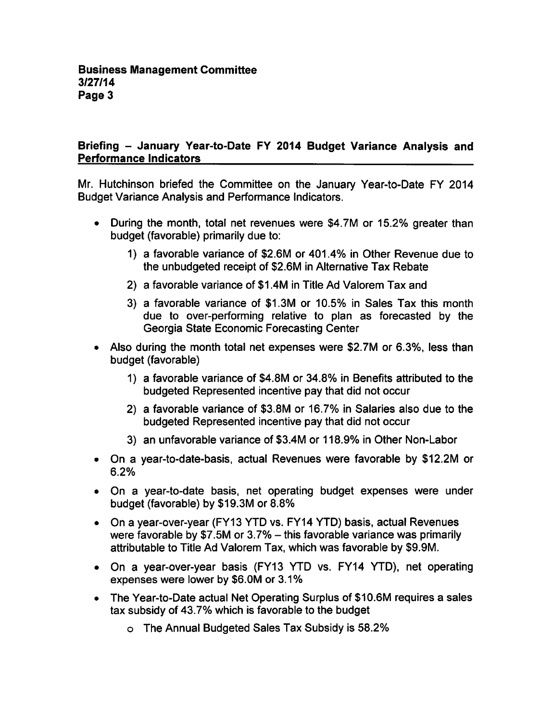# Briefing - January Year-to-Date FY 2014 Budget Variance Analysis and Performance Indicators

Mr. Hutchinson briefed the Committee on the January Year-to-Date FY 2014 Budget Variance Analysis and Performance Indicators.

- During the month, total net revenues were \$4.7M or 15.2% greater than budget (favorable) primarily due to:
	- 1) a favorable variance of \$2.6M or 401.4% in Other Revenue due to the unbudgeted receipt of \$2.6M in Alternative Tax Rebate
	- 2) a favorable variance of \$1.4M in Title Ad Valorem Tax and
	- 3) a favorable variance of \$1.3M or 10.5% in Sales Tax this month due to over-performing relative to plan as forecasted by the Georgia State Economic Forecasting Center
- Also during the month total net expenses were \$2.7M or 6.3%, less than budget (favorable)
	- 1) a favorable variance of \$4.8M or 34.8% in Benefits attributed to the budgeted Represented incentive pay that did not occur
	- 2) a favorable variance of \$3.8M or 16.7% in Salaries also due to the budgeted Represented incentive pay that did not occur
	- 3) an unfavorable variance of \$3.4M or 118.9% in Other Non-Labor
- On a year-to-date-basis, actual Revenues were favorable by \$12.2M or 6.2%
- On a year-to-date basis, net operating budget expenses were under budget (favorable) by \$19.3M or 8.8%
- On a year-over-year (FY13 YTD vs. FY14 YTD) basis, actual Revenues were favorable by  $$7.5M$  or 3.7% – this favorable variance was primarily attributable to Title Ad Valorem Tax, which was favorable by \$9.9M.
- On a year-over-year basis (FY13 YTD vs. FY14 YTD), net operating expenses were lower by \$6.0M or 3.1%
- The Year-to-Date actual Net Operating Surplus of \$10.6M requires a sales tax subsidy of 43.7% which is favorable to the budget
	- The Annual Budgeted Sales Tax Subsidy is 58.2%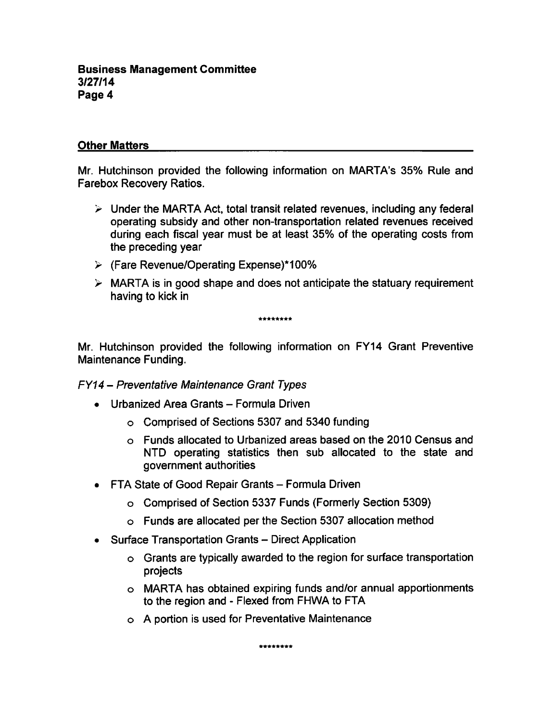# Other Matters

Mr. Hutchinson provided the following information on MARTA's 35% Rule and Farebox Recovery Ratios.

- $\geq$  Under the MARTA Act, total transit related revenues, including any federal operating subsidy and other non-transportation related revenues received during each fiscal year must be at least 35% of the operating costs from the preceding year
- (Fare Revenue/Operating Expense)\*100%
- $\triangleright$  MARTA is in good shape and does not anticipate the statuary requirement having to kick in

\*\*\*\*\*\*\*\*

Mr. Hutchinson provided the following information on FY14 Grant Preventive Maintenance Funding.

### FY14 - Preventative Maintenance Grant Types

- $\bullet$  Urbanized Area Grants Formula Driven
	- Comprised of Sections 5307 and 5340 funding
	- Funds allocated to Urbanized areas based on the 2010 Census and NTD operating statistics then sub allocated to the state and government authorities
- $\bullet$  FTA State of Good Repair Grants Formula Driven
	- Comprised of Section 5337 Funds (Formerly Section 5309)
	- Funds are allocated per the Section 5307 allocation method
- Surface Transportation Grants Direct Application
	- Grants are typically awarded to the region for surface transportation projects
	- MARTA has obtained expiring funds and/or annual apportionments to the region and - Flexed from FHWA to FTA
	- $\circ$  A portion is used for Preventative Maintenance

\*\*\*\*\*\*\*\*